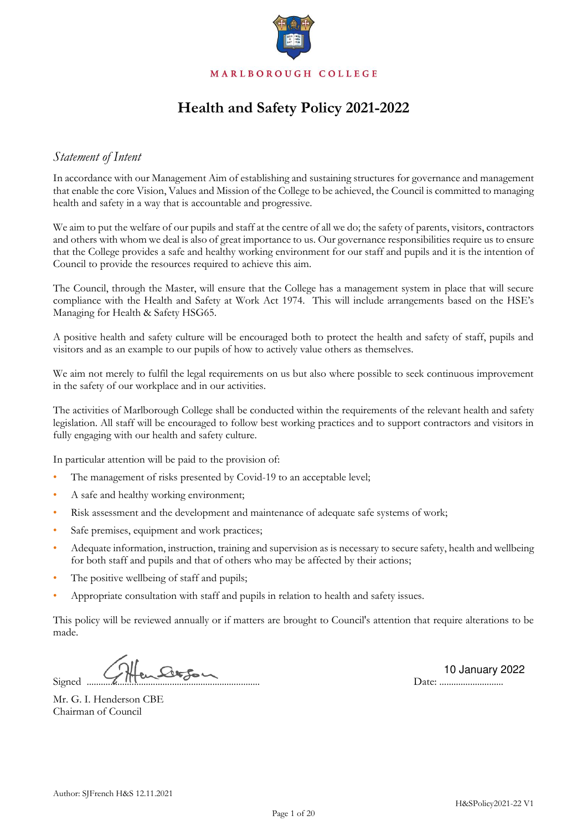

# **Health and Safety Policy 2021-2022**

## *Statement of Intent*

In accordance with our Management Aim of establishing and sustaining structures for governance and management that enable the core Vision, Values and Mission of the College to be achieved, the Council is committed to managing health and safety in a way that is accountable and progressive.

We aim to put the welfare of our pupils and staff at the centre of all we do; the safety of parents, visitors, contractors and others with whom we deal is also of great importance to us. Our governance responsibilities require us to ensure that the College provides a safe and healthy working environment for our staff and pupils and it is the intention of Council to provide the resources required to achieve this aim.

The Council, through the Master, will ensure that the College has a management system in place that will secure compliance with the Health and Safety at Work Act 1974. This will include arrangements based on the HSE's Managing for Health & Safety HSG65.

A positive health and safety culture will be encouraged both to protect the health and safety of staff, pupils and visitors and as an example to our pupils of how to actively value others as themselves.

We aim not merely to fulfil the legal requirements on us but also where possible to seek continuous improvement in the safety of our workplace and in our activities.

The activities of Marlborough College shall be conducted within the requirements of the relevant health and safety legislation. All staff will be encouraged to follow best working practices and to support contractors and visitors in fully engaging with our health and safety culture.

In particular attention will be paid to the provision of:

- The management of risks presented by Covid-19 to an acceptable level;
- A safe and healthy working environment;
- Risk assessment and the development and maintenance of adequate safe systems of work;
- Safe premises, equipment and work practices;
- Adequate information, instruction, training and supervision as is necessary to secure safety, health and wellbeing for both staff and pupils and that of others who may be affected by their actions;
- The positive wellbeing of staff and pupils;
- Appropriate consultation with staff and pupils in relation to health and safety issues.

This policy will be reviewed annually or if matters are brought to Council's attention that require alterations to be made.

 $Signed \, \, \ldots, \, \, \overline{Q} \, \, \Pi \, \, \overline{Q} \, \, \ldots, \, \overline{Q} \, \, \Pi \, \, \overline{Q} \, \, \ldots, \, \overline{Q} \, \, \Pi \, \, \overline{Q} \, \, \ldots, \, \overline{Q} \, \, \Pi \, \, \overline{Q} \, \, \ldots, \, \overline{Q} \, \, \Pi \, \, \overline{Q} \, \, \ldots, \, \overline{Q} \, \, \Pi \, \, \overline{Q} \, \, \ldots, \, \overline{Q} \, \, \Pi \,$ 

2022 10 January 2022

Mr. G. I. Henderson CBE Chairman of Council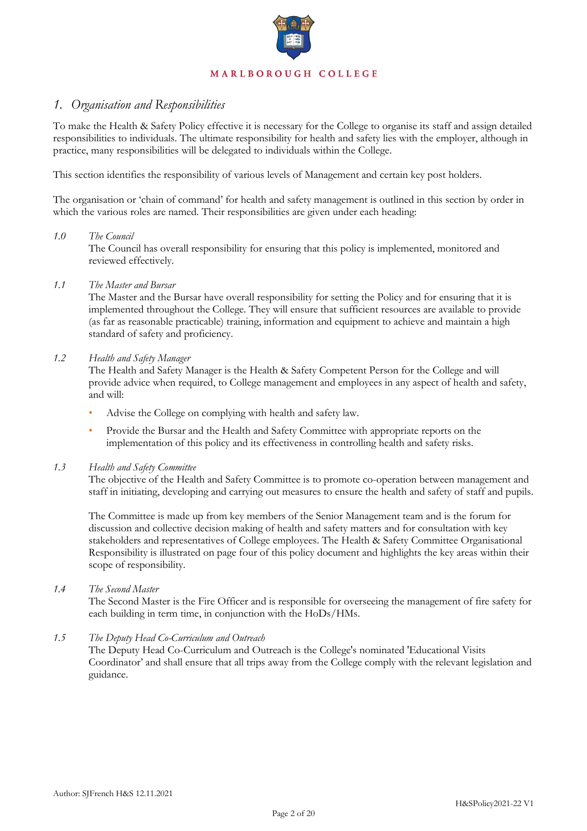

# *1. Organisation and Responsibilities*

To make the Health & Safety Policy effective it is necessary for the College to organise its staff and assign detailed responsibilities to individuals. The ultimate responsibility for health and safety lies with the employer, although in practice, many responsibilities will be delegated to individuals within the College.

This section identifies the responsibility of various levels of Management and certain key post holders.

The organisation or 'chain of command' for health and safety management is outlined in this section by order in which the various roles are named. Their responsibilities are given under each heading:

### *1.0 The Council*

The Council has overall responsibility for ensuring that this policy is implemented, monitored and reviewed effectively.

### *1.1 The Master and Bursar*

The Master and the Bursar have overall responsibility for setting the Policy and for ensuring that it is implemented throughout the College. They will ensure that sufficient resources are available to provide (as far as reasonable practicable) training, information and equipment to achieve and maintain a high standard of safety and proficiency.

### *1.2 Health and Safety Manager*

The Health and Safety Manager is the Health & Safety Competent Person for the College and will provide advice when required, to College management and employees in any aspect of health and safety, and will:

- Advise the College on complying with health and safety law.
- Provide the Bursar and the Health and Safety Committee with appropriate reports on the implementation of this policy and its effectiveness in controlling health and safety risks.

### *1.3 Health and Safety Committee*

The objective of the Health and Safety Committee is to promote co-operation between management and staff in initiating, developing and carrying out measures to ensure the health and safety of staff and pupils.

The Committee is made up from key members of the Senior Management team and is the forum for discussion and collective decision making of health and safety matters and for consultation with key stakeholders and representatives of College employees. The Health & Safety Committee Organisational Responsibility is illustrated on page four of this policy document and highlights the key areas within their scope of responsibility.

### *1.4 The Second Master*

The Second Master is the Fire Officer and is responsible for overseeing the management of fire safety for each building in term time, in conjunction with the HoDs/HMs.

### *1.5 The Deputy Head Co-Curriculum and Outreach*

The Deputy Head Co-Curriculum and Outreach is the College's nominated 'Educational Visits Coordinator' and shall ensure that all trips away from the College comply with the relevant legislation and guidance.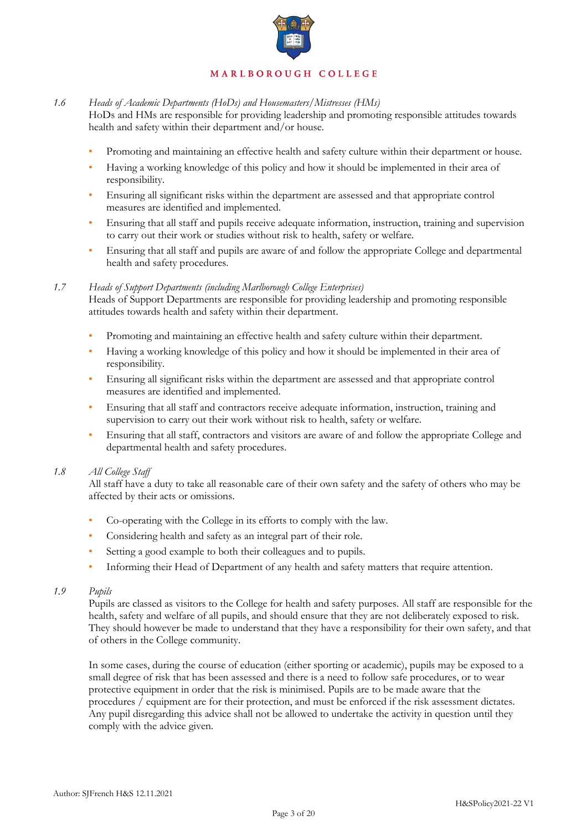

### *1.6 Heads of Academic Departments (HoDs) and Housemasters/Mistresses (HMs)*

HoDs and HMs are responsible for providing leadership and promoting responsible attitudes towards health and safety within their department and/or house.

- Promoting and maintaining an effective health and safety culture within their department or house.
- Having a working knowledge of this policy and how it should be implemented in their area of responsibility.
- Ensuring all significant risks within the department are assessed and that appropriate control measures are identified and implemented.
- Ensuring that all staff and pupils receive adequate information, instruction, training and supervision to carry out their work or studies without risk to health, safety or welfare.
- Ensuring that all staff and pupils are aware of and follow the appropriate College and departmental health and safety procedures.

### *1.7 Heads of Support Departments (including Marlborough College Enterprises)*

Heads of Support Departments are responsible for providing leadership and promoting responsible attitudes towards health and safety within their department.

- Promoting and maintaining an effective health and safety culture within their department.
- Having a working knowledge of this policy and how it should be implemented in their area of responsibility.
- Ensuring all significant risks within the department are assessed and that appropriate control measures are identified and implemented.
- Ensuring that all staff and contractors receive adequate information, instruction, training and supervision to carry out their work without risk to health, safety or welfare.
- Ensuring that all staff, contractors and visitors are aware of and follow the appropriate College and departmental health and safety procedures.

### *1.8 All College Staff*

All staff have a duty to take all reasonable care of their own safety and the safety of others who may be affected by their acts or omissions.

- Co-operating with the College in its efforts to comply with the law.
- Considering health and safety as an integral part of their role.
- Setting a good example to both their colleagues and to pupils.
- Informing their Head of Department of any health and safety matters that require attention.

### *1.9 Pupils*

Pupils are classed as visitors to the College for health and safety purposes. All staff are responsible for the health, safety and welfare of all pupils, and should ensure that they are not deliberately exposed to risk. They should however be made to understand that they have a responsibility for their own safety, and that of others in the College community.

In some cases, during the course of education (either sporting or academic), pupils may be exposed to a small degree of risk that has been assessed and there is a need to follow safe procedures, or to wear protective equipment in order that the risk is minimised. Pupils are to be made aware that the procedures / equipment are for their protection, and must be enforced if the risk assessment dictates. Any pupil disregarding this advice shall not be allowed to undertake the activity in question until they comply with the advice given.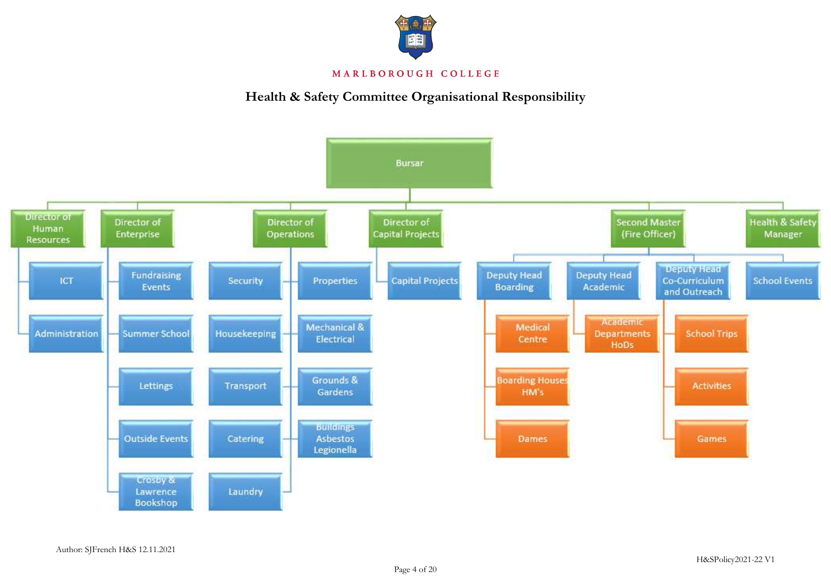

# **Health & Safety Committee Organisational Responsibility**

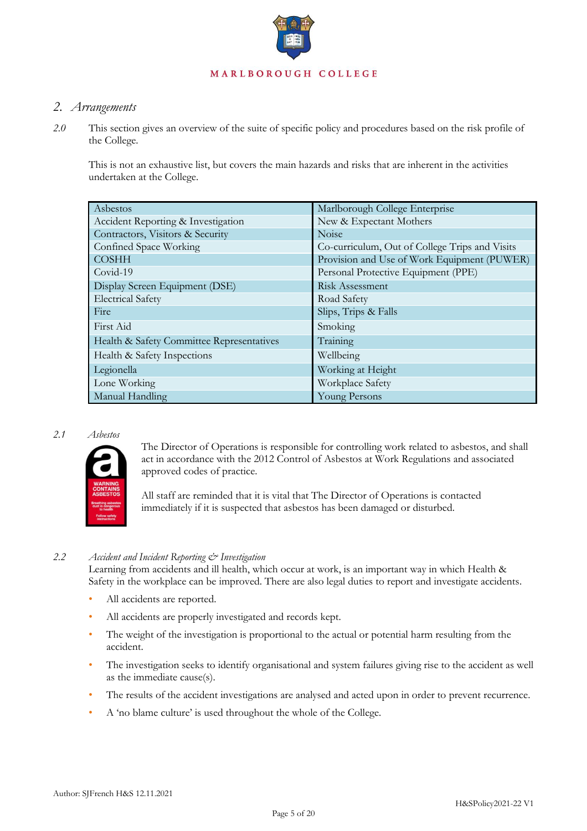

## *2. Arrangements*

*2.0* This section gives an overview of the suite of specific policy and procedures based on the risk profile of the College.

This is not an exhaustive list, but covers the main hazards and risks that are inherent in the activities undertaken at the College.

| Asbestos                                  | Marlborough College Enterprise                 |
|-------------------------------------------|------------------------------------------------|
| Accident Reporting & Investigation        | New & Expectant Mothers                        |
| Contractors, Visitors & Security          | Noise                                          |
| Confined Space Working                    | Co-curriculum, Out of College Trips and Visits |
| <b>COSHH</b>                              | Provision and Use of Work Equipment (PUWER)    |
| Covid-19                                  | Personal Protective Equipment (PPE)            |
| Display Screen Equipment (DSE)            | Risk Assessment                                |
| <b>Electrical Safety</b>                  | Road Safety                                    |
| Fire                                      | Slips, Trips & Falls                           |
| First Aid                                 | Smoking                                        |
| Health & Safety Committee Representatives | Training                                       |
| Health & Safety Inspections               | Wellbeing                                      |
| Legionella                                | Working at Height                              |
| Lone Working                              | Workplace Safety                               |
| Manual Handling                           | Young Persons                                  |

### *2.1 Asbestos*



The Director of Operations is responsible for controlling work related to asbestos, and shall act in accordance with the 2012 Control of Asbestos at Work Regulations and associated approved codes of practice.

All staff are reminded that it is vital that The Director of Operations is contacted immediately if it is suspected that asbestos has been damaged or disturbed.

### *2.2 Accident and Incident Reporting & Investigation*

Learning from accidents and ill health, which occur at work, is an important way in which Health & Safety in the workplace can be improved. There are also legal duties to report and investigate accidents.

- All accidents are reported.
- All accidents are properly investigated and records kept.
- The weight of the investigation is proportional to the actual or potential harm resulting from the accident.
- The investigation seeks to identify organisational and system failures giving rise to the accident as well as the immediate cause(s).
- The results of the accident investigations are analysed and acted upon in order to prevent recurrence.
- A 'no blame culture' is used throughout the whole of the College.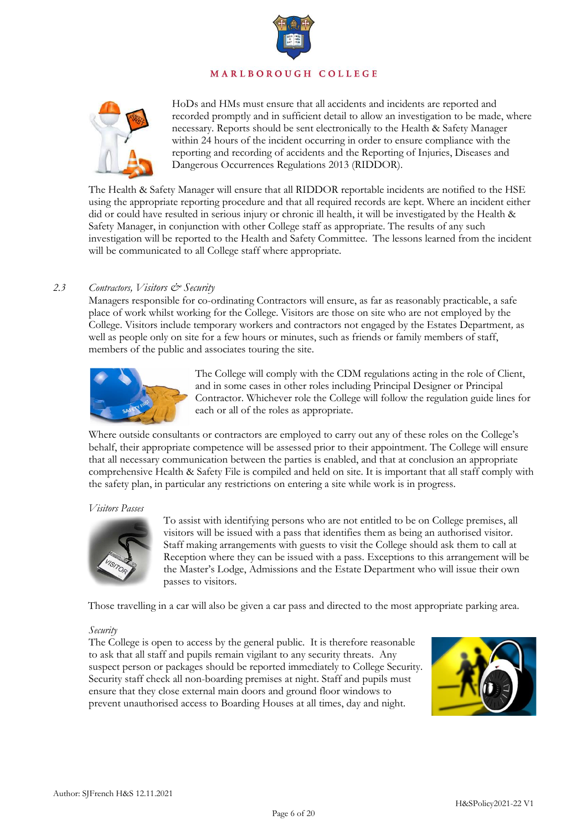



HoDs and HMs must ensure that all accidents and incidents are reported and recorded promptly and in sufficient detail to allow an investigation to be made, where necessary. Reports should be sent electronically to the Health & Safety Manager within 24 hours of the incident occurring in order to ensure compliance with the reporting and recording of accidents and the Reporting of Injuries, Diseases and Dangerous Occurrences Regulations 2013 (RIDDOR).

The Health & Safety Manager will ensure that all RIDDOR reportable incidents are notified to the HSE using the appropriate reporting procedure and that all required records are kept. Where an incident either did or could have resulted in serious injury or chronic ill health, it will be investigated by the Health & Safety Manager, in conjunction with other College staff as appropriate. The results of any such investigation will be reported to the Health and Safety Committee. The lessons learned from the incident will be communicated to all College staff where appropriate.

### *2.3 Contractors, Visitors & Security*

Managers responsible for co-ordinating Contractors will ensure, as far as reasonably practicable, a safe place of work whilst working for the College. Visitors are those on site who are not employed by the College. Visitors include temporary workers and contractors not engaged by the Estates Department*,* as well as people only on site for a few hours or minutes, such as friends or family members of staff, members of the public and associates touring the site.



The College will comply with the CDM regulations acting in the role of Client, and in some cases in other roles including Principal Designer or Principal Contractor. Whichever role the College will follow the regulation guide lines for each or all of the roles as appropriate.

Where outside consultants or contractors are employed to carry out any of these roles on the College's behalf, their appropriate competence will be assessed prior to their appointment. The College will ensure that all necessary communication between the parties is enabled, and that at conclusion an appropriate comprehensive Health & Safety File is compiled and held on site. It is important that all staff comply with the safety plan, in particular any restrictions on entering a site while work is in progress.

### *Visitors Passes*



To assist with identifying persons who are not entitled to be on College premises, all visitors will be issued with a pass that identifies them as being an authorised visitor. Staff making arrangements with guests to visit the College should ask them to call at Reception where they can be issued with a pass. Exceptions to this arrangement will be the Master's Lodge, Admissions and the Estate Department who will issue their own passes to visitors.

Those travelling in a car will also be given a car pass and directed to the most appropriate parking area.

### *Security*

The College is open to access by the general public. It is therefore reasonable to ask that all staff and pupils remain vigilant to any security threats. Any suspect person or packages should be reported immediately to College Security. Security staff check all non-boarding premises at night. Staff and pupils must ensure that they close external main doors and ground floor windows to prevent unauthorised access to Boarding Houses at all times, day and night.

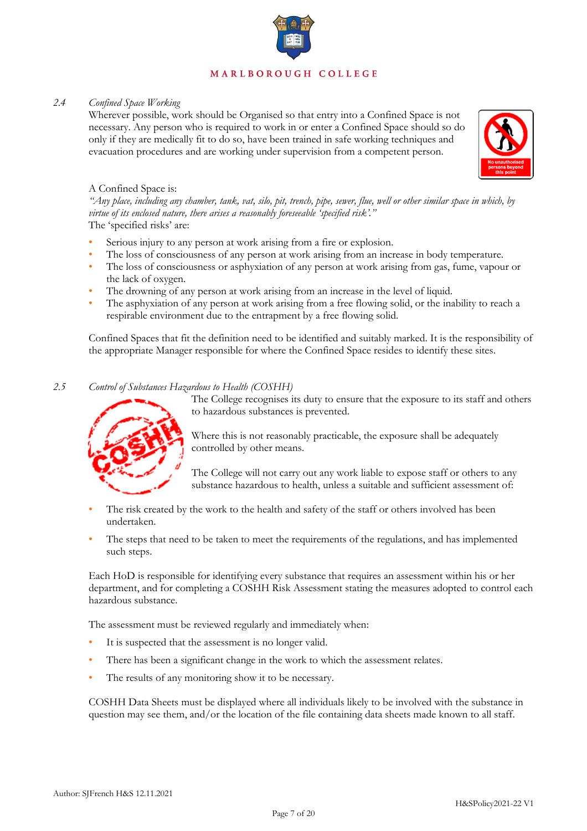

### *2.4 Confined Space Working*

Wherever possible, work should be Organised so that entry into a Confined Space is not necessary. Any person who is required to work in or enter a Confined Space should so do only if they are medically fit to do so, have been trained in safe working techniques and evacuation procedures and are working under supervision from a competent person.



### A Confined Space is:

*"Any place, including any chamber, tank, vat, silo, pit, trench, pipe, sewer, flue, well or other similar space in which, by virtue of its enclosed nature, there arises a reasonably foreseeable 'specified risk'."* The 'specified risks' are:

- Serious injury to any person at work arising from a fire or explosion.
- The loss of consciousness of any person at work arising from an increase in body temperature.
- The loss of consciousness or asphyxiation of any person at work arising from gas, fume, vapour or the lack of oxygen.
- The drowning of any person at work arising from an increase in the level of liquid.
- The asphyxiation of any person at work arising from a free flowing solid, or the inability to reach a respirable environment due to the entrapment by a free flowing solid.

Confined Spaces that fit the definition need to be identified and suitably marked. It is the responsibility of the appropriate Manager responsible for where the Confined Space resides to identify these sites.

### *2.5 Control of Substances Hazardous to Health (COSHH)*



The College recognises its duty to ensure that the exposure to its staff and others to hazardous substances is prevented.

Where this is not reasonably practicable, the exposure shall be adequately controlled by other means.

The College will not carry out any work liable to expose staff or others to any substance hazardous to health, unless a suitable and sufficient assessment of:

- The risk created by the work to the health and safety of the staff or others involved has been undertaken.
- The steps that need to be taken to meet the requirements of the regulations, and has implemented such steps.

Each HoD is responsible for identifying every substance that requires an assessment within his or her department, and for completing a COSHH Risk Assessment stating the measures adopted to control each hazardous substance.

The assessment must be reviewed regularly and immediately when:

- It is suspected that the assessment is no longer valid.
- There has been a significant change in the work to which the assessment relates.
- The results of any monitoring show it to be necessary.

COSHH Data Sheets must be displayed where all individuals likely to be involved with the substance in question may see them, and/or the location of the file containing data sheets made known to all staff.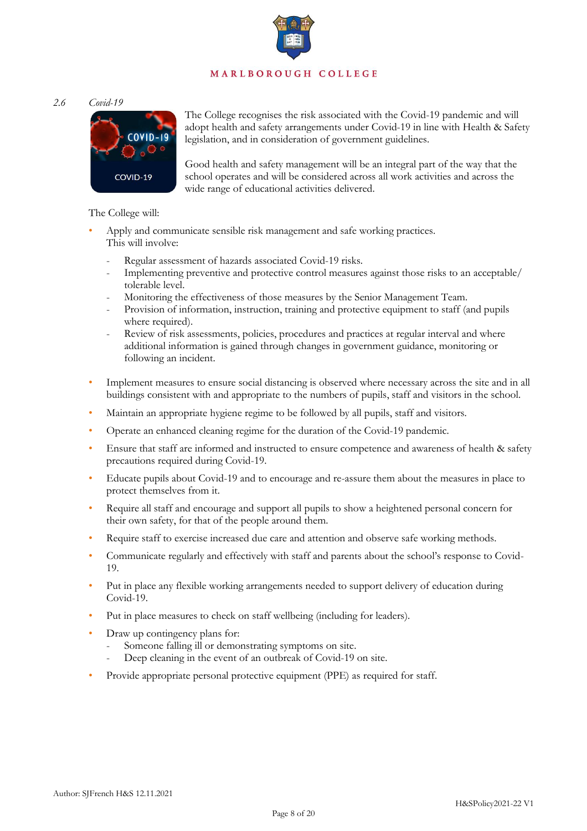*2.6 Covid-19*



The College recognises the risk associated with the Covid-19 pandemic and will adopt health and safety arrangements under Covid-19 in line with Health & Safety legislation, and in consideration of government guidelines.

Good health and safety management will be an integral part of the way that the school operates and will be considered across all work activities and across the wide range of educational activities delivered.

The College will:

- Apply and communicate sensible risk management and safe working practices. This will involve:
	- Regular assessment of hazards associated Covid-19 risks.
	- Implementing preventive and protective control measures against those risks to an acceptable/ tolerable level.
	- Monitoring the effectiveness of those measures by the Senior Management Team.
	- Provision of information, instruction, training and protective equipment to staff (and pupils where required).
	- Review of risk assessments, policies, procedures and practices at regular interval and where additional information is gained through changes in government guidance, monitoring or following an incident.
- Implement measures to ensure social distancing is observed where necessary across the site and in all buildings consistent with and appropriate to the numbers of pupils, staff and visitors in the school.
- Maintain an appropriate hygiene regime to be followed by all pupils, staff and visitors.
- Operate an enhanced cleaning regime for the duration of the Covid-19 pandemic.
- Ensure that staff are informed and instructed to ensure competence and awareness of health & safety precautions required during Covid-19.
- Educate pupils about Covid-19 and to encourage and re-assure them about the measures in place to protect themselves from it.
- Require all staff and encourage and support all pupils to show a heightened personal concern for their own safety, for that of the people around them.
- Require staff to exercise increased due care and attention and observe safe working methods.
- Communicate regularly and effectively with staff and parents about the school's response to Covid-19.
- Put in place any flexible working arrangements needed to support delivery of education during Covid-19.
- Put in place measures to check on staff wellbeing (including for leaders).
- Draw up contingency plans for:
	- Someone falling ill or demonstrating symptoms on site.
	- Deep cleaning in the event of an outbreak of Covid-19 on site.
- Provide appropriate personal protective equipment (PPE) as required for staff.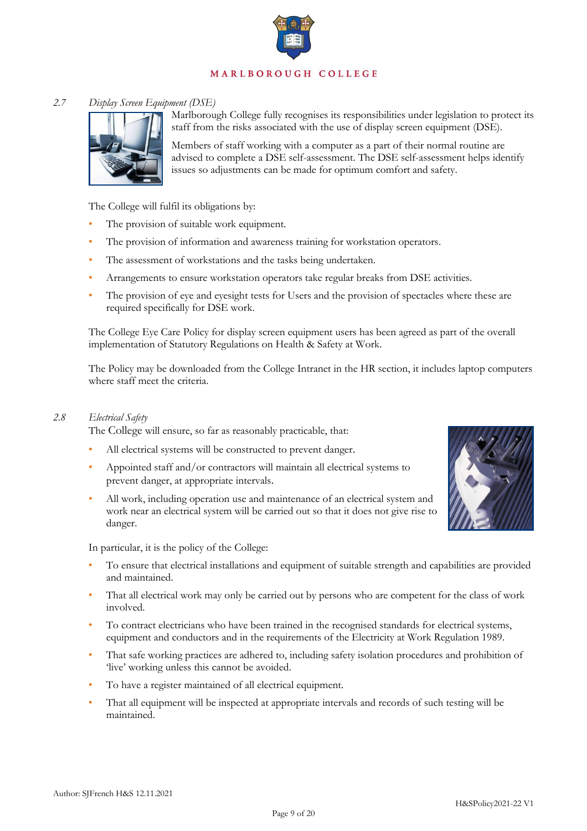

### *2.7 Display Screen Equipment (DSE)*



Marlborough College fully recognises its responsibilities under legislation to protect its staff from the risks associated with the use of display screen equipment (DSE).

Members of staff working with a computer as a part of their normal routine are advised to complete a DSE self-assessment. The DSE self-assessment helps identify issues so adjustments can be made for optimum comfort and safety.

The College will fulfil its obligations by:

- The provision of suitable work equipment.
- The provision of information and awareness training for workstation operators.
- The assessment of workstations and the tasks being undertaken.
- Arrangements to ensure workstation operators take regular breaks from DSE activities.
- The provision of eye and eyesight tests for Users and the provision of spectacles where these are required specifically for DSE work.

The College Eye Care Policy for display screen equipment users has been agreed as part of the overall implementation of Statutory Regulations on Health & Safety at Work.

The Policy may be downloaded from the College Intranet in the HR section, it includes laptop computers where staff meet the criteria.

### *2.8 Electrical Safety*

The College will ensure, so far as reasonably practicable, that:

- All electrical systems will be constructed to prevent danger.
- Appointed staff and/or contractors will maintain all electrical systems to prevent danger, at appropriate intervals.
- All work, including operation use and maintenance of an electrical system and work near an electrical system will be carried out so that it does not give rise to danger.



In particular, it is the policy of the College:

- To ensure that electrical installations and equipment of suitable strength and capabilities are provided and maintained.
- That all electrical work may only be carried out by persons who are competent for the class of work involved.
- To contract electricians who have been trained in the recognised standards for electrical systems, equipment and conductors and in the requirements of the Electricity at Work Regulation 1989.
- That safe working practices are adhered to, including safety isolation procedures and prohibition of 'live' working unless this cannot be avoided.
- To have a register maintained of all electrical equipment.
- That all equipment will be inspected at appropriate intervals and records of such testing will be maintained.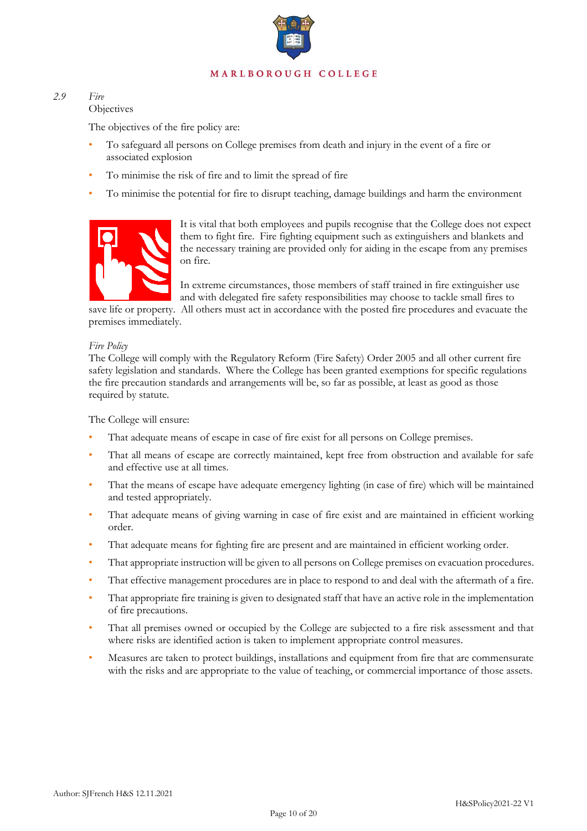

## *2.9 Fire*

### **Objectives**

The objectives of the fire policy are:

- To safeguard all persons on College premises from death and injury in the event of a fire or associated explosion
- To minimise the risk of fire and to limit the spread of fire
- To minimise the potential for fire to disrupt teaching, damage buildings and harm the environment



It is vital that both employees and pupils recognise that the College does not expect them to fight fire. Fire fighting equipment such as extinguishers and blankets and the necessary training are provided only for aiding in the escape from any premises on fire.

In extreme circumstances, those members of staff trained in fire extinguisher use and with delegated fire safety responsibilities may choose to tackle small fires to

save life or property. All others must act in accordance with the posted fire procedures and evacuate the premises immediately.

### *Fire Policy*

The College will comply with the Regulatory Reform (Fire Safety) Order 2005 and all other current fire safety legislation and standards. Where the College has been granted exemptions for specific regulations the fire precaution standards and arrangements will be, so far as possible, at least as good as those required by statute.

The College will ensure:

- That adequate means of escape in case of fire exist for all persons on College premises.
- That all means of escape are correctly maintained, kept free from obstruction and available for safe and effective use at all times.
- That the means of escape have adequate emergency lighting (in case of fire) which will be maintained and tested appropriately.
- That adequate means of giving warning in case of fire exist and are maintained in efficient working order.
- That adequate means for fighting fire are present and are maintained in efficient working order.
- That appropriate instruction will be given to all persons on College premises on evacuation procedures.
- That effective management procedures are in place to respond to and deal with the aftermath of a fire.
- That appropriate fire training is given to designated staff that have an active role in the implementation of fire precautions.
- That all premises owned or occupied by the College are subjected to a fire risk assessment and that where risks are identified action is taken to implement appropriate control measures.
- Measures are taken to protect buildings, installations and equipment from fire that are commensurate with the risks and are appropriate to the value of teaching, or commercial importance of those assets.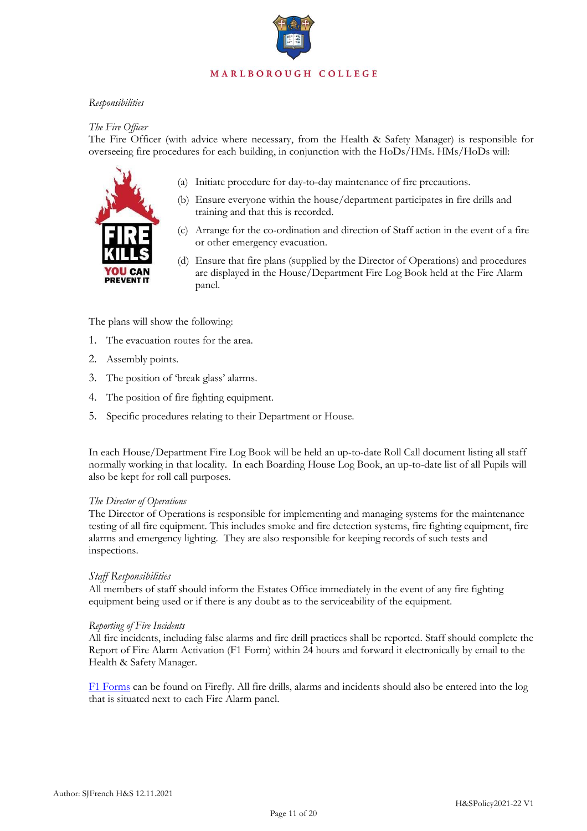### *Responsibilities*

### *The Fire Officer*

The Fire Officer (with advice where necessary, from the Health & Safety Manager) is responsible for overseeing fire procedures for each building, in conjunction with the HoDs/HMs. HMs/HoDs will:



- (a) Initiate procedure for day-to-day maintenance of fire precautions.
- (b) Ensure everyone within the house/department participates in fire drills and training and that this is recorded.
- (c) Arrange for the co-ordination and direction of Staff action in the event of a fire or other emergency evacuation.
- (d) Ensure that fire plans (supplied by the Director of Operations) and procedures are displayed in the House/Department Fire Log Book held at the Fire Alarm panel.

The plans will show the following:

- 1. The evacuation routes for the area.
- 2. Assembly points.
- 3. The position of 'break glass' alarms.
- 4. The position of fire fighting equipment.
- 5. Specific procedures relating to their Department or House.

In each House/Department Fire Log Book will be held an up-to-date Roll Call document listing all staff normally working in that locality. In each Boarding House Log Book, an up-to-date list of all Pupils will also be kept for roll call purposes.

### *The Director of Operations*

The Director of Operations is responsible for implementing and managing systems for the maintenance testing of all fire equipment. This includes smoke and fire detection systems, fire fighting equipment, fire alarms and emergency lighting. They are also responsible for keeping records of such tests and inspections.

### *Staff Responsibilities*

All members of staff should inform the Estates Office immediately in the event of any fire fighting equipment being used or if there is any doubt as to the serviceability of the equipment.

### *Reporting of Fire Incidents*

All fire incidents, including false alarms and fire drill practices shall be reported. Staff should complete the Report of Fire Alarm Activation (F1 Form) within 24 hours and forward it electronically by email to the Health & Safety Manager.

[F1 Forms](http://firefly.marlboroughcollege.org/resource.aspx?id=37807) can be found on Firefly. All fire drills, alarms and incidents should also be entered into the log that is situated next to each Fire Alarm panel.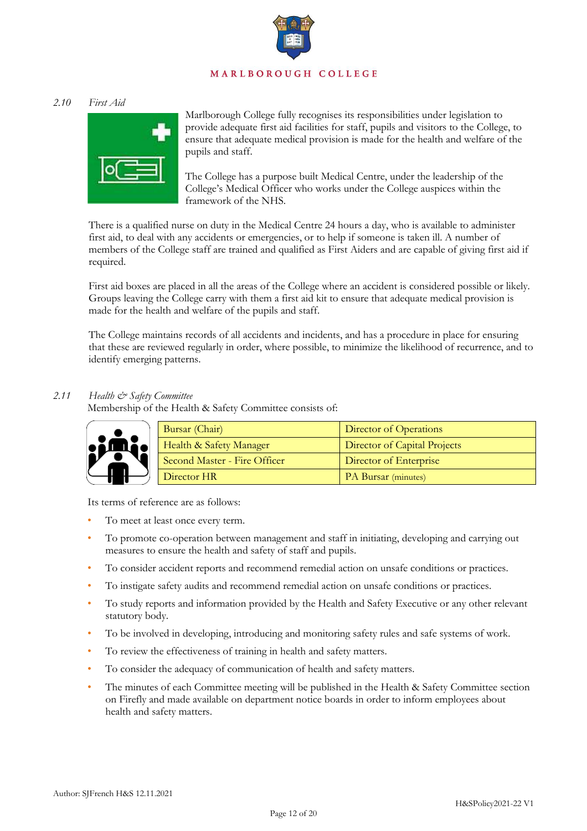### *2.10 First Aid*



Marlborough College fully recognises its responsibilities under legislation to provide adequate first aid facilities for staff, pupils and visitors to the College, to ensure that adequate medical provision is made for the health and welfare of the pupils and staff.

The College has a purpose built Medical Centre, under the leadership of the College's Medical Officer who works under the College auspices within the framework of the NHS.

There is a qualified nurse on duty in the Medical Centre 24 hours a day, who is available to administer first aid, to deal with any accidents or emergencies, or to help if someone is taken ill. A number of members of the College staff are trained and qualified as First Aiders and are capable of giving first aid if required.

First aid boxes are placed in all the areas of the College where an accident is considered possible or likely. Groups leaving the College carry with them a first aid kit to ensure that adequate medical provision is made for the health and welfare of the pupils and staff.

The College maintains records of all accidents and incidents, and has a procedure in place for ensuring that these are reviewed regularly in order, where possible, to minimize the likelihood of recurrence, and to identify emerging patterns.

### *2.11 Health & Safety Committee*

Membership of the Health & Safety Committee consists of:



| Bursar (Chair)               | Director of Operations       |
|------------------------------|------------------------------|
| Health & Safety Manager      | Director of Capital Projects |
| Second Master - Fire Officer | Director of Enterprise       |
| Director HR                  | <b>PA Bursar</b> (minutes)   |

Its terms of reference are as follows:

- To meet at least once every term.
- To promote co-operation between management and staff in initiating, developing and carrying out measures to ensure the health and safety of staff and pupils.
- To consider accident reports and recommend remedial action on unsafe conditions or practices.
- To instigate safety audits and recommend remedial action on unsafe conditions or practices.
- To study reports and information provided by the Health and Safety Executive or any other relevant statutory body.
- To be involved in developing, introducing and monitoring safety rules and safe systems of work.
- To review the effectiveness of training in health and safety matters.
- To consider the adequacy of communication of health and safety matters.
- The minutes of each Committee meeting will be published in the Health & Safety Committee section on Firefly and made available on department notice boards in order to inform employees about health and safety matters.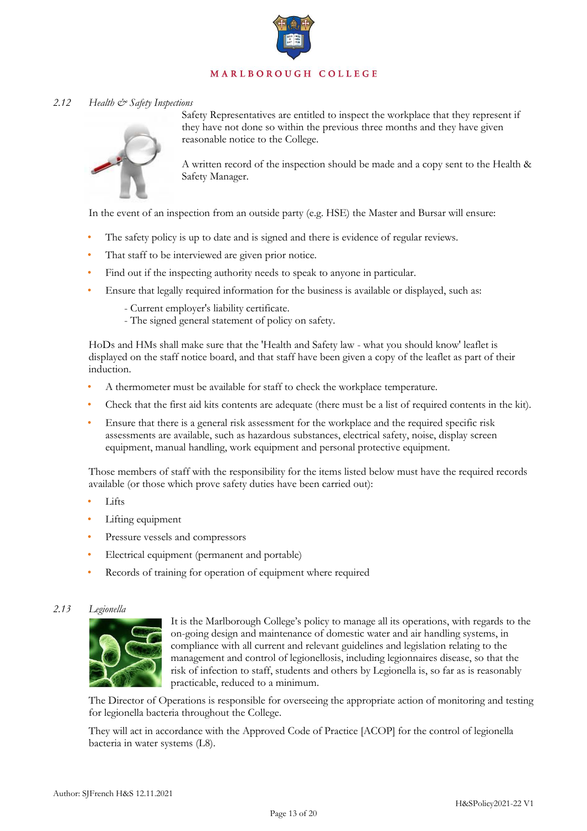

### *2.12 Health & Safety Inspections*



Safety Representatives are entitled to inspect the workplace that they represent if they have not done so within the previous three months and they have given reasonable notice to the College.

A written record of the inspection should be made and a copy sent to the Health & Safety Manager.

In the event of an inspection from an outside party (e.g. HSE) the Master and Bursar will ensure:

- The safety policy is up to date and is signed and there is evidence of regular reviews.
- That staff to be interviewed are given prior notice.
- Find out if the inspecting authority needs to speak to anyone in particular.
- Ensure that legally required information for the business is available or displayed, such as:
	- Current employer's liability certificate.
	- The signed general statement of policy on safety.

HoDs and HMs shall make sure that the 'Health and Safety law - what you should know' leaflet is displayed on the staff notice board, and that staff have been given a copy of the leaflet as part of their induction.

- A thermometer must be available for staff to check the workplace temperature.
- Check that the first aid kits contents are adequate (there must be a list of required contents in the kit).
- Ensure that there is a general risk assessment for the workplace and the required specific risk assessments are available, such as hazardous substances, electrical safety, noise, display screen equipment, manual handling, work equipment and personal protective equipment.

Those members of staff with the responsibility for the items listed below must have the required records available (or those which prove safety duties have been carried out):

- Lifts
- Lifting equipment
- Pressure vessels and compressors
- Electrical equipment (permanent and portable)
- Records of training for operation of equipment where required

### *2.13 Legionella*



It is the Marlborough College's policy to manage all its operations, with regards to the on-going design and maintenance of domestic water and air handling systems, in compliance with all current and relevant guidelines and legislation relating to the management and control of legionellosis, including legionnaires disease, so that the risk of infection to staff, students and others by Legionella is, so far as is reasonably practicable, reduced to a minimum.

The Director of Operations is responsible for overseeing the appropriate action of monitoring and testing for legionella bacteria throughout the College.

They will act in accordance with the Approved Code of Practice [ACOP] for the control of legionella bacteria in water systems (L8).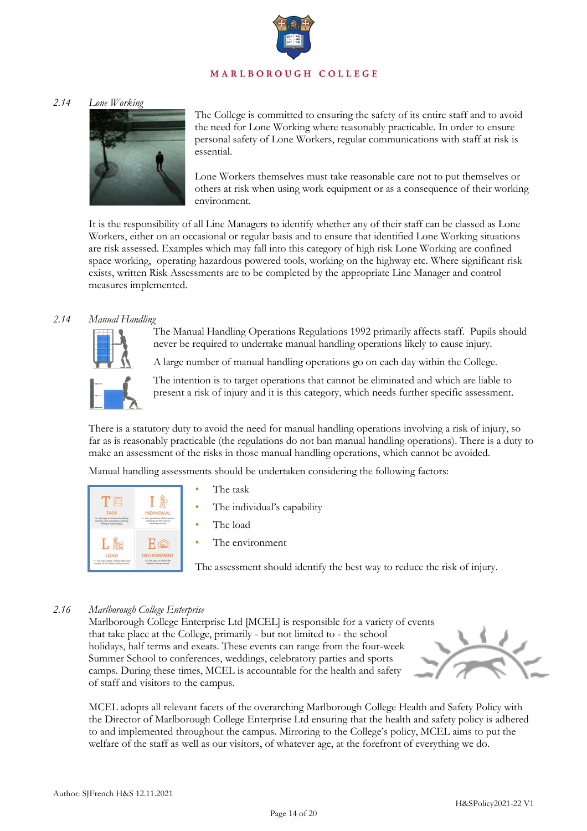### *2.14 Lone Working*



The College is committed to ensuring the safety of its entire staff and to avoid the need for Lone Working where reasonably practicable. In order to ensure personal safety of Lone Workers, regular communications with staff at risk is essential.

Lone Workers themselves must take reasonable care not to put themselves or others at risk when using work equipment or as a consequence of their working environment.

It is the responsibility of all Line Managers to identify whether any of their staff can be classed as Lone Workers, either on an occasional or regular basis and to ensure that identified Lone Working situations are risk assessed. Examples which may fall into this category of high risk Lone Working are confined space working, operating hazardous powered tools, working on the highway etc. Where significant risk exists, written Risk Assessments are to be completed by the appropriate Line Manager and control measures implemented.

### *2.14 Manual Handling*

The Manual Handling Operations Regulations 1992 primarily affects staff. Pupils should never be required to undertake manual handling operations likely to cause injury.

A large number of manual handling operations go on each day within the College.



The intention is to target operations that cannot be eliminated and which are liable to present a risk of injury and it is this category, which needs further specific assessment.

There is a statutory duty to avoid the need for manual handling operations involving a risk of injury, so far as is reasonably practicable (the regulations do not ban manual handling operations). There is a duty to make an assessment of the risks in those manual handling operations, which cannot be avoided.

Manual handling assessments should be undertaken considering the following factors:

| <b>TASK</b>                          | <b>INDIVIDUAL</b>                  |
|--------------------------------------|------------------------------------|
| i.e. the type of manual handling     | La, the capabilities of the person |
| activity, such as pushing, pullises, | carrying out the manual            |
| <b>Efting or camping etc.</b>        | <b><i>hardling</i></b> activity    |
| LOAD                                 | <b>ENVIRONMENT</b>                 |
| Le the size, shape, surface-type and | Lic the area in which the          |
| weight of the object being moved.    | closed is being mineed.            |

- The task
- The individual's capability
- The load
- The environment

The assessment should identify the best way to reduce the risk of injury.

### *2.16 Marlborough College Enterprise*

Marlborough College Enterprise Ltd [MCEL] is responsible for a variety of events that take place at the College, primarily - but not limited to - the school holidays, half terms and exeats. These events can range from the four-week Summer School to conferences, weddings, celebratory parties and sports camps. During these times, MCEL is accountable for the health and safety of staff and visitors to the campus.



MCEL adopts all relevant facets of the overarching Marlborough College Health and Safety Policy with the Director of Marlborough College Enterprise Ltd ensuring that the health and safety policy is adhered to and implemented throughout the campus. Mirroring to the College's policy, MCEL aims to put the welfare of the staff as well as our visitors, of whatever age, at the forefront of everything we do.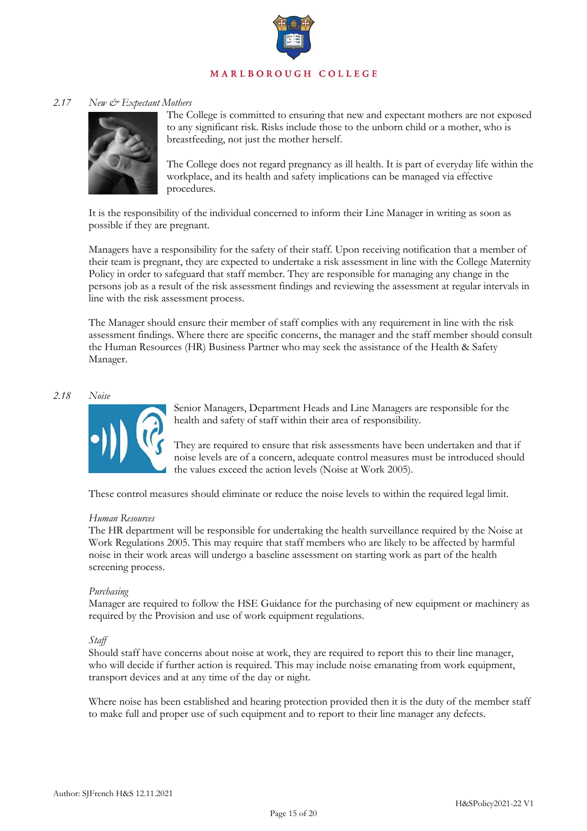

### *2.17 New & Expectant Mothers*



The College is committed to ensuring that new and expectant mothers are not exposed to any significant risk. Risks include those to the unborn child or a mother, who is breastfeeding, not just the mother herself.

The College does not regard pregnancy as ill health. It is part of everyday life within the workplace, and its health and safety implications can be managed via effective procedures.

It is the responsibility of the individual concerned to inform their Line Manager in writing as soon as possible if they are pregnant.

Managers have a responsibility for the safety of their staff. Upon receiving notification that a member of their team is pregnant, they are expected to undertake a risk assessment in line with the College Maternity Policy in order to safeguard that staff member. They are responsible for managing any change in the persons job as a result of the risk assessment findings and reviewing the assessment at regular intervals in line with the risk assessment process.

The Manager should ensure their member of staff complies with any requirement in line with the risk assessment findings. Where there are specific concerns, the manager and the staff member should consult the Human Resources (HR) Business Partner who may seek the assistance of the Health & Safety Manager.

### *2.18 Noise*



Senior Managers, Department Heads and Line Managers are responsible for the health and safety of staff within their area of responsibility.

They are required to ensure that risk assessments have been undertaken and that if noise levels are of a concern, adequate control measures must be introduced should the values exceed the action levels (Noise at Work 2005).

These control measures should eliminate or reduce the noise levels to within the required legal limit.

### *Human Resources*

The HR department will be responsible for undertaking the health surveillance required by the Noise at Work Regulations 2005. This may require that staff members who are likely to be affected by harmful noise in their work areas will undergo a baseline assessment on starting work as part of the health screening process.

### *Purchasing*

Manager are required to follow the HSE Guidance for the purchasing of new equipment or machinery as required by the Provision and use of work equipment regulations.

### *Staff*

Should staff have concerns about noise at work, they are required to report this to their line manager, who will decide if further action is required. This may include noise emanating from work equipment, transport devices and at any time of the day or night.

Where noise has been established and hearing protection provided then it is the duty of the member staff to make full and proper use of such equipment and to report to their line manager any defects.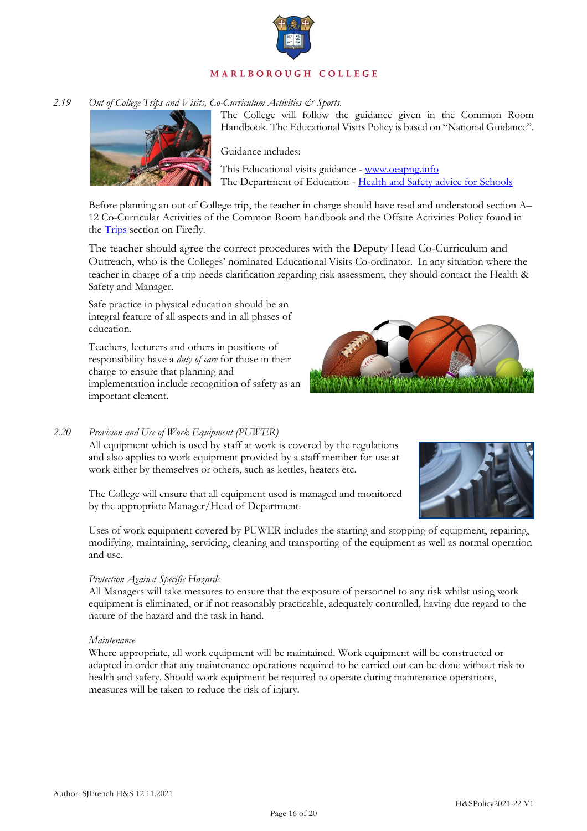

### 2.19 Out of College Trips and Visits, Co-Curriculum Activities & Sports.



The College will follow the guidance given in the Common Room Handbook. The Educational Visits Policy is based on "National Guidance".

Guidance includes:

This Educational visits guidance [- www.oeapng.info](http://www.oeapng.info/) The Department of Education - [Health and Safety advice for Schools](https://www.gov.uk/government/publications/health-and-safety-advice-for-schools)

Before planning an out of College trip, the teacher in charge should have read and understood section A– 12 Co-Curricular Activities of the Common Room handbook and the Offsite Activities Policy found in the **Trips** section on Firefly.

The teacher should agree the correct procedures with the Deputy Head Co-Curriculum and Outreach, who is the Colleges' nominated Educational Visits Co-ordinator. In any situation where the teacher in charge of a trip needs clarification regarding risk assessment, they should contact the Health & Safety and Manager.

Safe practice in physical education should be an integral feature of all aspects and in all phases of education.

Teachers, lecturers and others in positions of responsibility have a *duty of care* for those in their charge to ensure that planning and implementation include recognition of safety as an important element.



### *2.20 Provision and Use of Work Equipment (PUWER)*

All equipment which is used by staff at work is covered by the regulations and also applies to work equipment provided by a staff member for use at work either by themselves or others, such as kettles, heaters etc.

The College will ensure that all equipment used is managed and monitored by the appropriate Manager/Head of Department.

Uses of work equipment covered by PUWER includes the starting and stopping of equipment, repairing, modifying, maintaining, servicing, cleaning and transporting of the equipment as well as normal operation and use.

### *Protection Against Specific Hazards*

All Managers will take measures to ensure that the exposure of personnel to any risk whilst using work equipment is eliminated, or if not reasonably practicable, adequately controlled, having due regard to the nature of the hazard and the task in hand.

### *Maintenance*

Where appropriate, all work equipment will be maintained. Work equipment will be constructed or adapted in order that any maintenance operations required to be carried out can be done without risk to health and safety. Should work equipment be required to operate during maintenance operations, measures will be taken to reduce the risk of injury.

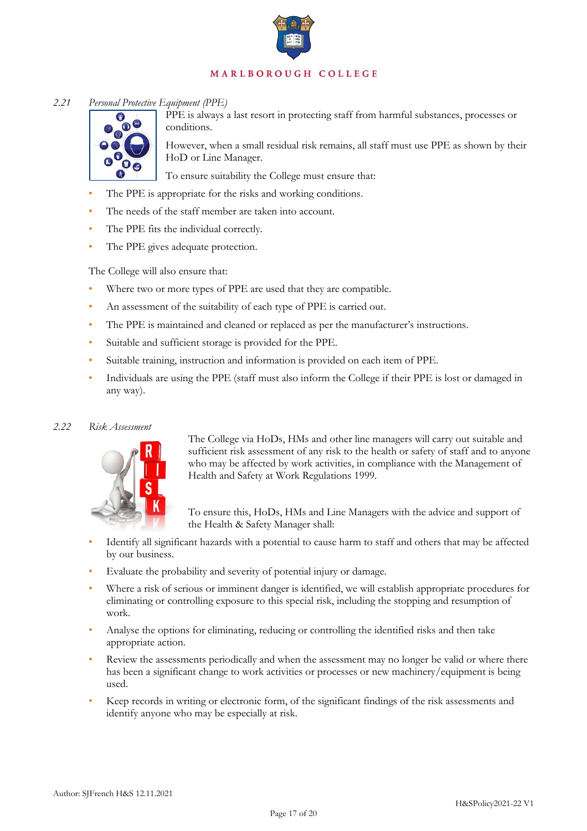

### *2.21 Personal Protective Equipment (PPE)*



PPE is always a last resort in protecting staff from harmful substances, processes or conditions.

However, when a small residual risk remains, all staff must use PPE as shown by their HoD or Line Manager.

To ensure suitability the College must ensure that:

- The PPE is appropriate for the risks and working conditions.
- The needs of the staff member are taken into account.
- The PPE fits the individual correctly.
- The PPE gives adequate protection.

The College will also ensure that:

- Where two or more types of PPE are used that they are compatible.
- An assessment of the suitability of each type of PPE is carried out.
- The PPE is maintained and cleaned or replaced as per the manufacturer's instructions.
- Suitable and sufficient storage is provided for the PPE.
- Suitable training, instruction and information is provided on each item of PPE.
- Individuals are using the PPE (staff must also inform the College if their PPE is lost or damaged in any way).

### *2.22 Risk Assessment*



The College via HoDs, HMs and other line managers will carry out suitable and sufficient risk assessment of any risk to the health or safety of staff and to anyone who may be affected by work activities, in compliance with the Management of Health and Safety at Work Regulations 1999.

To ensure this, HoDs, HMs and Line Managers with the advice and support of the Health & Safety Manager shall:

- Identify all significant hazards with a potential to cause harm to staff and others that may be affected by our business.
- Evaluate the probability and severity of potential injury or damage.
- Where a risk of serious or imminent danger is identified, we will establish appropriate procedures for eliminating or controlling exposure to this special risk, including the stopping and resumption of work.
- Analyse the options for eliminating, reducing or controlling the identified risks and then take appropriate action.
- Review the assessments periodically and when the assessment may no longer be valid or where there has been a significant change to work activities or processes or new machinery/equipment is being used.
- Keep records in writing or electronic form, of the significant findings of the risk assessments and identify anyone who may be especially at risk.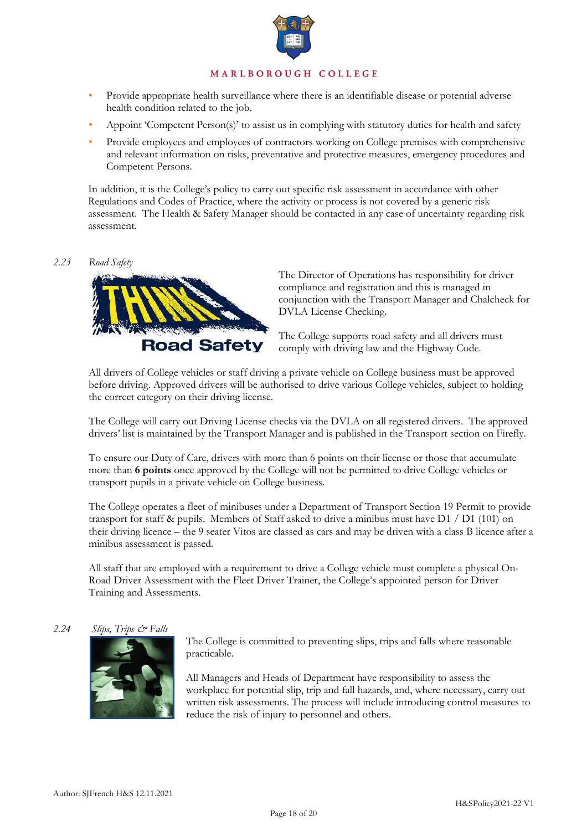

- Provide appropriate health surveillance where there is an identifiable disease or potential adverse health condition related to the job.
- Appoint 'Competent Person(s)' to assist us in complying with statutory duties for health and safety
- Provide employees and employees of contractors working on College premises with comprehensive and relevant information on risks, preventative and protective measures, emergency procedures and Competent Persons.

In addition, it is the College's policy to carry out specific risk assessment in accordance with other Regulations and Codes of Practice, where the activity or process is not covered by a generic risk assessment. The Health & Safety Manager should be contacted in any case of uncertainty regarding risk assessment.

### *2.23 Road Safety*



The Director of Operations has responsibility for driver compliance and registration and this is managed in conjunction with the Transport Manager and Chalcheck for DVLA License Checking.

The College supports road safety and all drivers must comply with driving law and the Highway Code.

All drivers of College vehicles or staff driving a private vehicle on College business must be approved before driving. Approved drivers will be authorised to drive various College vehicles, subject to holding the correct category on their driving license.

The College will carry out Driving License checks via the DVLA on all registered drivers. The approved drivers' list is maintained by the Transport Manager and is published in the Transport section on Firefly.

To ensure our Duty of Care, drivers with more than 6 points on their license or those that accumulate more than **6 points** once approved by the College will not be permitted to drive College vehicles or transport pupils in a private vehicle on College business.

The College operates a fleet of minibuses under a Department of Transport Section 19 Permit to provide transport for staff & pupils. Members of Staff asked to drive a minibus must have  $D1 / D1$  (101) on their driving licence – the 9 seater Vitos are classed as cars and may be driven with a class B licence after a minibus assessment is passed.

All staff that are employed with a requirement to drive a College vehicle must complete a physical On-Road Driver Assessment with the Fleet Driver Trainer, the College's appointed person for Driver Training and Assessments.

### *2.24 Slips, Trips & Falls*



The College is committed to preventing slips, trips and falls where reasonable practicable.

All Managers and Heads of Department have responsibility to assess the workplace for potential slip, trip and fall hazards, and, where necessary, carry out written risk assessments. The process will include introducing control measures to reduce the risk of injury to personnel and others.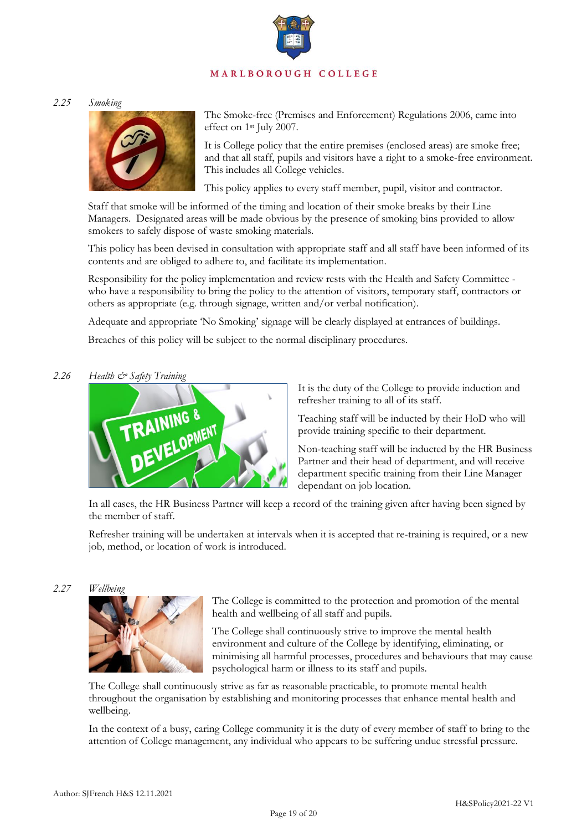*2.25 Smoking* 



The Smoke-free (Premises and Enforcement) Regulations 2006, came into effect on 1st July 2007.

It is College policy that the entire premises (enclosed areas) are smoke free; and that all staff, pupils and visitors have a right to a smoke-free environment. This includes all College vehicles.

This policy applies to every staff member, pupil, visitor and contractor.

Staff that smoke will be informed of the timing and location of their smoke breaks by their Line Managers. Designated areas will be made obvious by the presence of smoking bins provided to allow smokers to safely dispose of waste smoking materials.

This policy has been devised in consultation with appropriate staff and all staff have been informed of its contents and are obliged to adhere to, and facilitate its implementation.

Responsibility for the policy implementation and review rests with the Health and Safety Committee who have a responsibility to bring the policy to the attention of visitors, temporary staff, contractors or others as appropriate (e.g. through signage, written and/or verbal notification).

Adequate and appropriate 'No Smoking' signage will be clearly displayed at entrances of buildings.

Breaches of this policy will be subject to the normal disciplinary procedures.

*2.26 Health & Safety Training* 



It is the duty of the College to provide induction and refresher training to all of its staff.

Teaching staff will be inducted by their HoD who will provide training specific to their department.

Non-teaching staff will be inducted by the HR Business Partner and their head of department, and will receive department specific training from their Line Manager dependant on job location.

In all cases, the HR Business Partner will keep a record of the training given after having been signed by the member of staff.

Refresher training will be undertaken at intervals when it is accepted that re-training is required, or a new job, method, or location of work is introduced.



The College is committed to the protection and promotion of the mental health and wellbeing of all staff and pupils.

The College shall continuously strive to improve the mental health environment and culture of the College by identifying, eliminating, or minimising all harmful processes, procedures and behaviours that may cause psychological harm or illness to its staff and pupils.

The College shall continuously strive as far as reasonable practicable, to promote mental health throughout the organisation by establishing and monitoring processes that enhance mental health and wellbeing.

In the context of a busy, caring College community it is the duty of every member of staff to bring to the attention of College management, any individual who appears to be suffering undue stressful pressure.